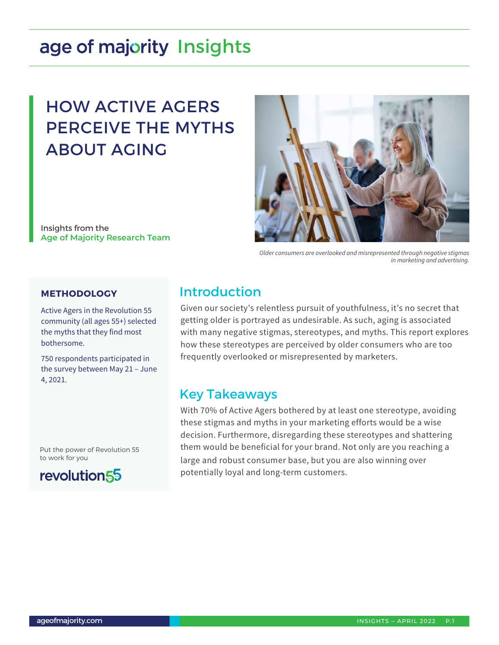# age of majority Insights

## HOW ACTIVE AGERS PERCEIVE THE MYTHS ABOUT AGING

Insights from the **Age of Majority Research Team**



*Older consumers are overlooked and misrepresented through negative stigmas in marketing and advertising.*

#### **METHODOLOGY**

Active Agers in the Revolution 55 community (all ages 55+) selected the myths that they find most bothersome.

750 respondents participated in the survey between May 21 – June 4, 2021.

Put the power of Revolution 55 to work for you



## Introduction

Given our society's relentless pursuit of youthfulness, it's no secret that getting older is portrayed as undesirable. As such, aging is associated with many negative stigmas, stereotypes, and myths. This report explores how these stereotypes are perceived by older consumers who are too frequently overlooked or misrepresented by marketers.

### Key Takeaways

With 70% of Active Agers bothered by at least one stereotype, avoiding these stigmas and myths in your marketing efforts would be a wise decision. Furthermore, disregarding these stereotypes and shattering them would be beneficial for your brand. Not only are you reaching a large and robust consumer base, but you are also winning over potentially loyal and long-term customers.